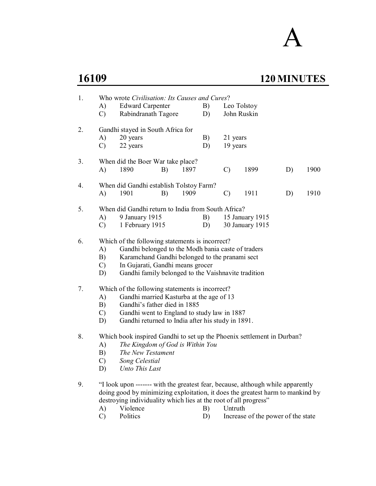A

# **16109 120 MINUTES**

| 1. | A)<br>$\mathcal{C}$             | Who wrote Civilisation: Its Causes and Cures?<br><b>Edward Carpenter</b><br>Rabindranath Tagore                                                                                                                                                    |    |      | B)<br>D) | Leo Tolstoy<br>John Ruskin |                                                                                                                                                                   |    |      |  |  |
|----|---------------------------------|----------------------------------------------------------------------------------------------------------------------------------------------------------------------------------------------------------------------------------------------------|----|------|----------|----------------------------|-------------------------------------------------------------------------------------------------------------------------------------------------------------------|----|------|--|--|
| 2. | A)<br>$\mathcal{C}$             | Gandhi stayed in South Africa for<br>20 years<br>22 years                                                                                                                                                                                          |    |      | B)<br>D) | 21 years<br>19 years       |                                                                                                                                                                   |    |      |  |  |
| 3. | A)                              | When did the Boer War take place?<br>1890                                                                                                                                                                                                          | B) | 1897 |          | $\mathcal{C}$              | 1899                                                                                                                                                              | D) | 1900 |  |  |
| 4. | A)                              | When did Gandhi establish Tolstoy Farm?<br>1901                                                                                                                                                                                                    | B) | 1909 |          | $\mathcal{C}$              | 1911                                                                                                                                                              | D) | 1910 |  |  |
| 5. | A)<br>$\mathcal{C}$             | When did Gandhi return to India from South Africa?<br>9 January 1915<br>1 February 1915                                                                                                                                                            |    |      | B)<br>D) |                            | 15 January 1915<br>30 January 1915                                                                                                                                |    |      |  |  |
| 6. | A)<br>B)<br>$\mathcal{C}$<br>D) | Which of the following statements is incorrect?<br>Gandhi belonged to the Modh bania caste of traders<br>Karamchand Gandhi belonged to the pranami sect<br>In Gujarati, Gandhi means grocer<br>Gandhi family belonged to the Vaishnavite tradition |    |      |          |                            |                                                                                                                                                                   |    |      |  |  |
| 7. | A)<br>B)<br>$\mathcal{C}$<br>D) | Which of the following statements is incorrect?<br>Gandhi married Kasturba at the age of 13<br>Gandhi's father died in 1885<br>Gandhi went to England to study law in 1887<br>Gandhi returned to India after his study in 1891.                    |    |      |          |                            |                                                                                                                                                                   |    |      |  |  |
| 8. | A)<br>B)<br>$\mathcal{C}$<br>D) | Which book inspired Gandhi to set up the Phoenix settlement in Durban?<br>The Kingdom of God is Within You<br>The New Testament<br>Song Celestial<br>Unto This Last                                                                                |    |      |          |                            |                                                                                                                                                                   |    |      |  |  |
| 9. | A)                              | destroying individuality which lies at the root of all progress"<br>Violence                                                                                                                                                                       |    |      | B)       | Untruth                    | "I look upon ------- with the greatest fear, because, although while apparently<br>doing good by minimizing exploitation, it does the greatest harm to mankind by |    |      |  |  |

C) Politics D) Increase of the power of the state<br>
D) Increase of the power of the state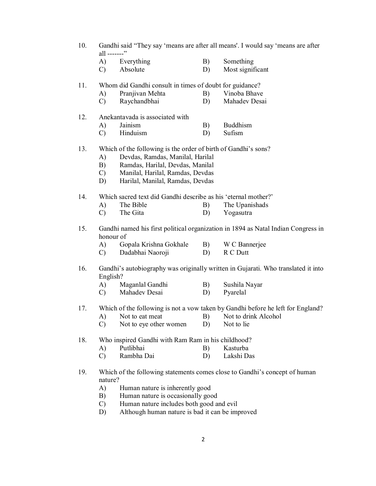| 10. | Gandhi said "They say 'means are after all means'. I would say 'means are after |  |  |  |  |
|-----|---------------------------------------------------------------------------------|--|--|--|--|
|     | all -------"                                                                    |  |  |  |  |

- A) Everything B) Something
- C) Absolute D) Most significant

#### 11. Whom did Gandhi consult in times of doubt for guidance?

- A) Pranjivan Mehta B) Vinoba Bhave<br>C) Ravchandbhai B) Mahadev Desai
- C) Raychandbhai D)

#### 12. Anekantavada is associated with

- A) Jainism B) Buddhism
- C) Hinduism D) Sufism

#### 13. Which of the following is the order of birth of Gandhi's sons?

- A) Devdas, Ramdas, Manilal, Harilal
- B) Ramdas, Harilal, Devdas, Manilal
- C) Manilal, Harilal, Ramdas, Devdas
- D) Harilal, Manilal, Ramdas, Devdas

#### 14. Which sacred text did Gandhi describe as his 'eternal mother?'

- A) The Bible B) The Upanishads
- C) The Gita D) Yogasutra

#### 15. Gandhi named his first political organization in 1894 as Natal Indian Congress in honour of

- A) Gopala Krishna Gokhale B) W C Bannerjee
- C) Dadabhai Naoroji D) R C Dutt

#### 16. Gandhi's autobiography was originally written in Gujarati. Who translated it into English?

- A) Maganlal Gandhi B) Sushila Nayar
- C) Mahadev Desai D) Pyarelal

#### 17. Which of the following is not a vow taken by Gandhi before he left for England?

- A) Not to eat meat B) Not to drink Alcohol
- C) Not to eye other women D) Not to lie

#### 18. Who inspired Gandhi with Ram Ram in his childhood?

- A) Putlibhai B) Kasturba
- C) Rambha Dai D) Lakshi Das

#### 19. Which of the following statements comes close to Gandhi's concept of human nature?

- A) Human nature is inherently good
- B) Human nature is occasionally good
- C) Human nature includes both good and evil
- D) Although human nature is bad it can be improved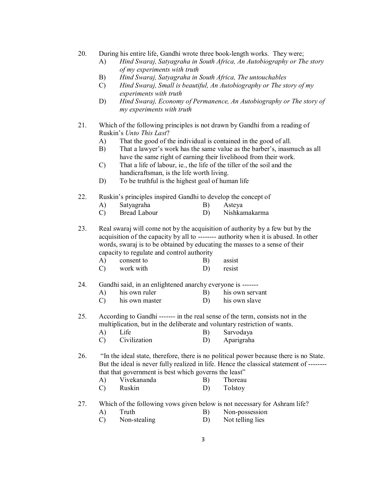- 20. During his entire life, Gandhi wrote three book-length works. They were;
	- A) *Hind Swaraj, Satyagraha in South Africa, An Autobiography or The story of my experiments with truth*
	- B) *Hind Swaraj, Satyagraha in South Africa, The untouchables*
	- C) *Hind Swaraj, Small is beautiful, An Autobiography or The story of my experiments with truth*
	- D) *Hind Swaraj, Economy of Permanence, An Autobiography or The story of my experiments with truth*
- 21. Which of the following principles is not drawn by Gandhi from a reading of Ruskin's *Unto This Last*?
	- A) That the good of the individual is contained in the good of all.
	- B) That a lawyer's work has the same value as the barber's, inasmuch as all have the same right of earning their livelihood from their work.
	- C) That a life of labour, ie., the life of the tiller of the soil and the handicraftsman, is the life worth living.
	- D) To be truthful is the highest goal of human life
- 22. Ruskin's principles inspired Gandhi to develop the concept of
	- A) Satyagraha B) Asteya
	- C) Bread Labour D) Nishkamakarma

23. Real swaraj will come not by the acquisition of authority by a few but by the acquisition of the capacity by all to -------- authority when it is abused. In other words, swaraj is to be obtained by educating the masses to a sense of their capacity to regulate and control authority

- A) consent to B) assist
- C) work with D) resist
- 24. Gandhi said, in an enlightened anarchy everyone is -------
	- A) his own ruler B) his own servant
	- C) his own master D) his own slave

25. According to Gandhi ------- in the real sense of the term, consists not in the multiplication, but in the deliberate and voluntary restriction of wants.

- A) Life B) Sarvodaya
- C) Civilization D) Aparigraha

26. "In the ideal state, therefore, there is no political power because there is no State. But the ideal is never fully realized in life. Hence the classical statement of ------- that that government is best which governs the least"

- A) Vivekananda B) Thoreau
- C) Ruskin D) Tolstoy

27. Which of the following vows given below is not necessary for Ashram life?

- A) Truth B) Non-possession
- C) Non-stealing D) Not telling lies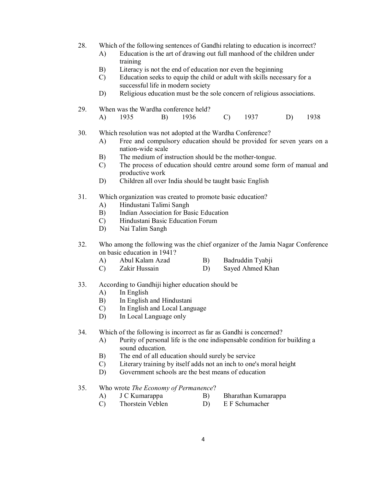- 28. Which of the following sentences of Gandhi relating to education is incorrect?
	- A) Education is the art of drawing out full manhood of the children under training
	- B) Literacy is not the end of education nor even the beginning
	- C) Education seeks to equip the child or adult with skills necessary for a successful life in modern society
	- D) Religious education must be the sole concern of religious associations.

#### 29. When was the Wardha conference held?

A) 1935 B) 1936 C) 1937 D) 1938

## 30. Which resolution was not adopted at the Wardha Conference?

- A) Free and compulsory education should be provided for seven years on a nation-wide scale
- B) The medium of instruction should be the mother-tongue.
- C) The process of education should centre around some form of manual and productive work
- D) Children all over India should be taught basic English
- 31. Which organization was created to promote basic education?
	- A) Hindustani Talimi Sangh
	- B) Indian Association for Basic Education
	- C) Hindustani Basic Education Forum
	- D) Nai Talim Sangh
- 32. Who among the following was the chief organizer of the Jamia Nagar Conference on basic education in 1941?
	- A) Abul Kalam Azad B) Badruddin Tyabji
	- C) Zakir Hussain D) Sayed Ahmed Khan

#### 33. According to Gandhiji higher education should be

- A) In English
- B) In English and Hindustani
- C) In English and Local Language
- D) In Local Language only

#### 34. Which of the following is incorrect as far as Gandhi is concerned?

- A) Purity of personal life is the one indispensable condition for building a sound education.
- B) The end of all education should surely be service
- C) Literary training by itself adds not an inch to one's moral height
- D) Government schools are the best means of education

## 35. Who wrote *The Economy of Permanence*?

- A) J C Kumarappa B) Bharathan Kumarappa
	-
- C) Thorstein Veblen D) E F Schumacher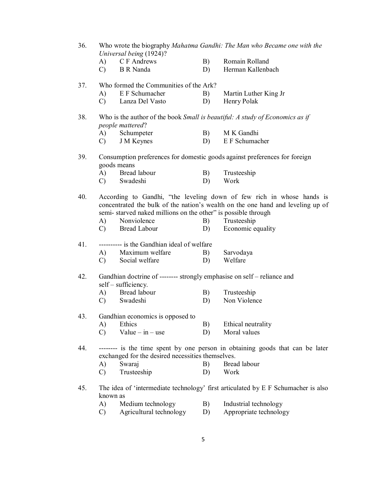- 36. Who wrote the biography *Mahatma Gandhi: The Man who Became one with the Universal being* (1924)?
	- A) C F Andrews B) Romain Rolland
	- C) B R Nanda D) Herman Kallenbach

#### 37. Who formed the Communities of the Ark?

- A) E F Schumacher B) Martin Luther King Jr
- C) Lanza Del Vasto D) Henry Polak
- 38. Who is the author of the book *Small is beautiful: A study of Economics as if people mattered*?
	- A) Schumpeter B) M K Gandhi
	- C) J M Keynes D) E F Schumacher

## 39. Consumption preferences for domestic goods against preferences for foreign goods means

- A) Bread labour B) Trusteeship
- C) Swadeshi D) Work
- 40. According to Gandhi, "the leveling down of few rich in whose hands is concentrated the bulk of the nation's wealth on the one hand and leveling up of semi- starved naked millions on the other" is possible through
	- A) Nonviolence B) Trusteeship
	- C) Bread Labour D) Economic equality

## 41. ---------- is the Gandhian ideal of welfare

- A) Maximum welfare B) Sarvodaya
- C) Social welfare D) Welfare

## 42. Gandhian doctrine of -------- strongly emphasise on self – reliance and self – sufficiency.

- A) Bread labour B) Trusteeship
- C) Swadeshi D) Non Violence

#### 43. Gandhian economics is opposed to

- A) Ethics B) Ethical neutrality
- C) Value in use D) Moral values
- 44. -------- is the time spent by one person in obtaining goods that can be later exchanged for the desired necessities themselves.
	- A) Swaraj B) Bread labour
		- C) Trusteeship D) Work
- 45. The idea of 'intermediate technology' first articulated by E F Schumacher is also known as
	- A) Medium technology B) Industrial technology
	- C) Agricultural technology D) Appropriate technology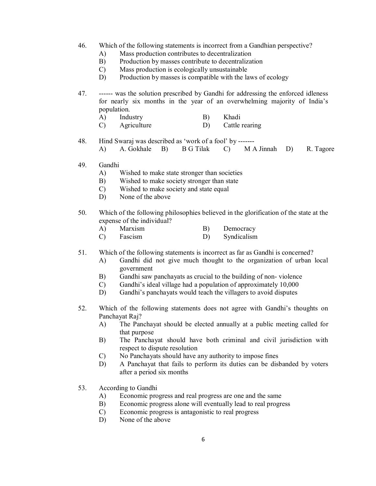- 46. Which of the following statements is incorrect from a Gandhian perspective?
	- A) Mass production contributes to decentralization
	- B) Production by masses contribute to decentralization
	- C) Mass production is ecologically unsustainable
	- D) Production by masses is compatible with the laws of ecology

47. ------ was the solution prescribed by Gandhi for addressing the enforced idleness for nearly six months in the year of an overwhelming majority of India's population.

- A) Industry B) Khadi
- C) Agriculture D) Cattle rearing
- 48. Hind Swaraj was described as 'work of a fool' by -------
	- A) A. Gokhale B) B G Tilak C) M A Jinnah D) R. Tagore
- 49. Gandhi
	- A) Wished to make state stronger than societies
	- B) Wished to make society stronger than state
	- C) Wished to make society and state equal
	- D) None of the above
- 50. Which of the following philosophies believed in the glorification of the state at the expense of the individual?
	- A) Marxism B) Democracy
	- C) Fascism D) Syndicalism

## 51. Which of the following statements is incorrect as far as Gandhi is concerned?

- A) Gandhi did not give much thought to the organization of urban local government
- B) Gandhi saw panchayats as crucial to the building of non- violence
- C) Gandhi's ideal village had a population of approximately 10,000
- D) Gandhi's panchayats would teach the villagers to avoid disputes
- 52. Which of the following statements does not agree with Gandhi's thoughts on Panchayat Raj?
	- A) The Panchayat should be elected annually at a public meeting called for that purpose
	- B) The Panchayat should have both criminal and civil jurisdiction with respect to dispute resolution
	- C) No Panchayats should have any authority to impose fines
	- D) A Panchayat that fails to perform its duties can be disbanded by voters after a period six months
- 53. According to Gandhi
	- A) Economic progress and real progress are one and the same
	- B) Economic progress alone will eventually lead to real progress
	- C) Economic progress is antagonistic to real progress
	- D) None of the above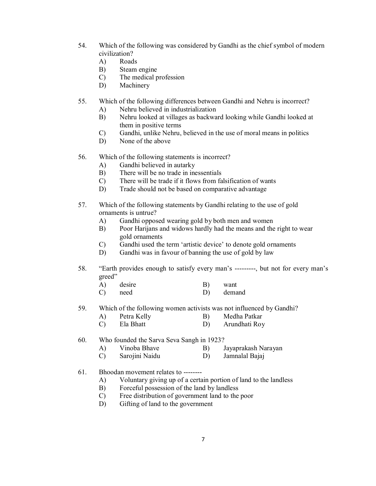- 54. Which of the following was considered by Gandhi as the chief symbol of modern civilization?
	- A) Roads
	- B) Steam engine
	- C) The medical profession
	- D) Machinery
- 55. Which of the following differences between Gandhi and Nehru is incorrect?
	- A) Nehru believed in industrialization
	- B) Nehru looked at villages as backward looking while Gandhi looked at them in positive terms
	- C) Gandhi, unlike Nehru, believed in the use of moral means in politics
	- D) None of the above
- 56. Which of the following statements is incorrect?
	- A) Gandhi believed in autarky
	- B) There will be no trade in inessentials
	- C) There will be trade if it flows from falsification of wants
	- D) Trade should not be based on comparative advantage
- 57. Which of the following statements by Gandhi relating to the use of gold ornaments is untrue?
	- A) Gandhi opposed wearing gold by both men and women
	- B) Poor Harijans and widows hardly had the means and the right to wear gold ornaments
	- C) Gandhi used the term 'artistic device' to denote gold ornaments
	- D) Gandhi was in favour of banning the use of gold by law
- 58. "Earth provides enough to satisfy every man's ---------, but not for every man's greed"
	- A) desire B) want
	- C) need D) demand
- 59. Which of the following women activists was not influenced by Gandhi?
	- A) Petra Kelly B) Medha Patkar
	- C) Ela Bhatt D) Arundhati Roy
- 60. Who founded the Sarva Seva Sangh in 1923?
	- A) Vinoba Bhave B) Jayaprakash Narayan
	- C) Sarojini Naidu D) Jamnalal Bajaj
- 61. Bhoodan movement relates to --------
	- A) Voluntary giving up of a certain portion of land to the landless
	- B) Forceful possession of the land by landless
	- C) Free distribution of government land to the poor
	- D) Gifting of land to the government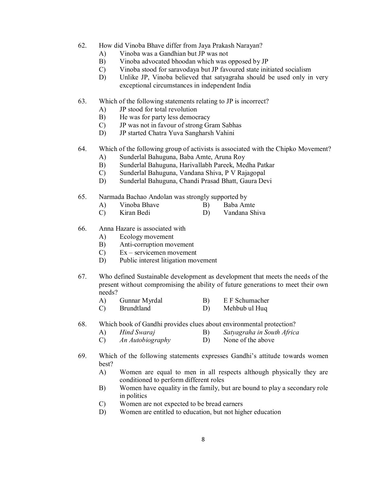- 62. How did Vinoba Bhave differ from Jaya Prakash Narayan?
	- A) Vinoba was a Gandhian but JP was not
	- B) Vinoba advocated bhoodan which was opposed by JP
	- C) Vinoba stood for saravodaya but JP favoured state initiated socialism
	- D) Unlike JP, Vinoba believed that satyagraha should be used only in very exceptional circumstances in independent India
- 63. Which of the following statements relating to JP is incorrect?
	- A) JP stood for total revolution
	- B) He was for party less democracy
	- C) JP was not in favour of strong Gram Sabhas
	- D) JP started Chatra Yuva Sangharsh Vahini
- 64. Which of the following group of activists is associated with the Chipko Movement?
	- A) Sunderlal Bahuguna, Baba Amte, Aruna Roy
	- B) Sunderlal Bahuguna, Harivallabh Pareek, Medha Patkar
	- C) Sunderlal Bahuguna, Vandana Shiva, P V Rajagopal
	- D) Sunderlal Bahuguna, Chandi Prasad Bhatt, Gaura Devi
- 65. Narmada Bachao Andolan was strongly supported by
	- A) Vinoba Bhave B) Baba Amte
	- C) Kiran Bedi D) Vandana Shiva
- 66. Anna Hazare is associated with
	- A) Ecology movement
	- B) Anti-corruption movement
	- C) Ex servicemen movement
	- D) Public interest litigation movement
- 67. Who defined Sustainable development as development that meets the needs of the present without compromising the ability of future generations to meet their own needs?
	- A) Gunnar Myrdal B) E F Schumacher
	- C) Brundtland D) Mehbub ul Huq
- 68. Which book of Gandhi provides clues about environmental protection?
	- A) *Hind Swaraj* B) *Satyagraha in South Africa*
		- C) *An Autobiography* D) None of the above
- 69. Which of the following statements expresses Gandhi's attitude towards women best?
	- A) Women are equal to men in all respects although physically they are conditioned to perform different roles
	- B) Women have equality in the family, but are bound to play a secondary role in politics
	- C) Women are not expected to be bread earners
	- D) Women are entitled to education, but not higher education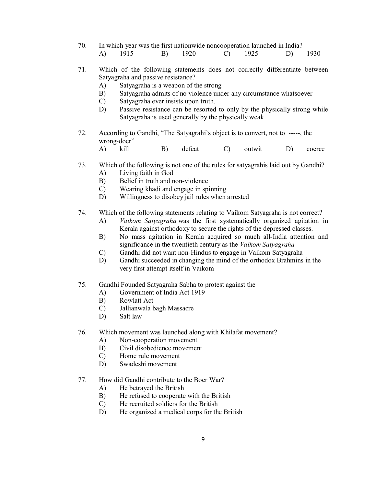- 70. In which year was the first nationwide noncooperation launched in India? A) 1915 B) 1920 C) 1925 D) 1930
- 71. Which of the following statements does not correctly differentiate between Satyagraha and passive resistance?
	- A) Satyagraha is a weapon of the strong
	- B) Satyagraha admits of no violence under any circumstance whatsoever
	- C) Satyagraha ever insists upon truth.
	- D) Passive resistance can be resorted to only by the physically strong while Satyagraha is used generally by the physically weak
- 72. According to Gandhi, "The Satyagrahi's object is to convert, not to -----, the wrong-doer"
	- A) kill B) defeat C) outwit D) coerce
- 73. Which of the following is not one of the rules for satyagrahis laid out by Gandhi?
	- A) Living faith in God
	- B) Belief in truth and non-violence
	- C) Wearing khadi and engage in spinning
	- D) Willingness to disobey jail rules when arrested
- 74. Which of the following statements relating to Vaikom Satyagraha is not correct?
	- A) *Vaikom Satyagraha* was the first systematically organized agitation in Kerala against orthodoxy to secure the rights of the depressed classes.
	- B) No mass agitation in Kerala acquired so much all-India attention and significance in the twentieth century as the *Vaikom Satyagraha*
	- C) Gandhi did not want non-Hindus to engage in Vaikom Satyagraha
	- D) Gandhi succeeded in changing the mind of the orthodox Brahmins in the very first attempt itself in Vaikom
- 75. Gandhi Founded Satyagraha Sabha to protest against the
	- A) Government of India Act 1919
	- B) Rowlatt Act
	- C) Jallianwala bagh Massacre
	- D) Salt law
- 76. Which movement was launched along with Khilafat movement?
	- A) Non-cooperation movement
	- B) Civil disobedience movement
	- C) Home rule movement
	- D) Swadeshi movement
- 77. How did Gandhi contribute to the Boer War?
	- A) He betrayed the British
	- B) He refused to cooperate with the British
	- C) He recruited soldiers for the British
	- D) He organized a medical corps for the British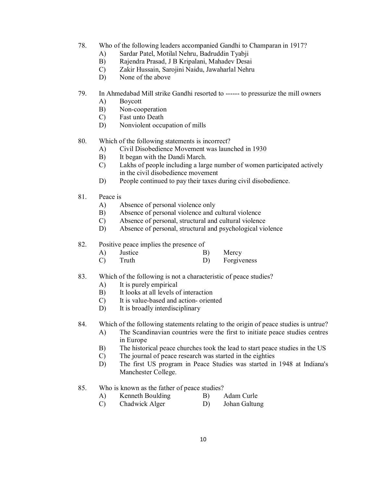- 78. Who of the following leaders accompanied Gandhi to Champaran in 1917?
	- A) Sardar Patel, Motilal Nehru, Badruddin Tyabji
	- B) Rajendra Prasad, J B Kripalani, Mahadev Desai
	- C) Zakir Hussain, Sarojini Naidu, Jawaharlal Nehru
	- D) None of the above
- 79. In Ahmedabad Mill strike Gandhi resorted to ------ to pressurize the mill owners
	- A) Boycott
	- B) Non-cooperation
	- C) Fast unto Death
	- D) Nonviolent occupation of mills

80. Which of the following statements is incorrect?

- A) Civil Disobedience Movement was launched in 1930
- B) It began with the Dandi March.
- C) Lakhs of people including a large number of women participated actively in the civil disobedience movement
- D) People continued to pay their taxes during civil disobedience.
- 81. Peace is
	- A) Absence of personal violence only
	- B) Absence of personal violence and cultural violence
	- C) Absence of personal, structural and cultural violence
	- D) Absence of personal, structural and psychological violence
- 82. Positive peace implies the presence of
	- A) Justice B) Mercy
	- C) Truth D) Forgiveness

#### 83. Which of the following is not a characteristic of peace studies?

- A) It is purely empirical
- B) It looks at all levels of interaction
- C) It is value-based and action- oriented
- D) It is broadly interdisciplinary

84. Which of the following statements relating to the origin of peace studies is untrue?

- A) The Scandinavian countries were the first to initiate peace studies centres in Europe
- B) The historical peace churches took the lead to start peace studies in the US
- C) The journal of peace research was started in the eighties
- D) The first US program in Peace Studies was started in 1948 at Indiana's Manchester College.
- 85. Who is known as the father of peace studies?
	- A) Kenneth Boulding B) Adam Curle
		-
	- C) Chadwick Alger D) Johan Galtung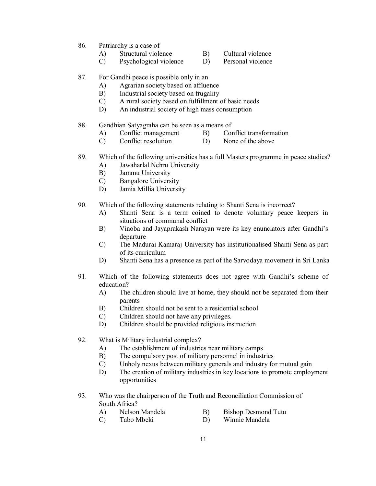- 86. Patriarchy is a case of
	- A) Structural violence B) Cultural violence
	- C) Psychological violence D) Personal violence
- 87. For Gandhi peace is possible only in an
	- A) Agrarian society based on affluence
	- B) Industrial society based on frugality
	- C) A rural society based on fulfillment of basic needs
	- D) An industrial society of high mass consumption
- 88. Gandhian Satyagraha can be seen as a means of
	- A) Conflict management B) Conflict transformation
	- C) Conflict resolution D) None of the above
- 89. Which of the following universities has a full Masters programme in peace studies?
	- A) Jawaharlal Nehru University
	- B) Jammu University
	- C) Bangalore University
	- D) Jamia Millia University
- 90. Which of the following statements relating to Shanti Sena is incorrect?
	- A) Shanti Sena is a term coined to denote voluntary peace keepers in situations of communal conflict
	- B) Vinoba and Jayaprakash Narayan were its key enunciators after Gandhi's departure
	- C) The Madurai Kamaraj University has institutionalised Shanti Sena as part of its curriculum
	- D) Shanti Sena has a presence as part of the Sarvodaya movement in Sri Lanka
- 91. Which of the following statements does not agree with Gandhi's scheme of education?
	- A) The children should live at home, they should not be separated from their parents
	- B) Children should not be sent to a residential school
	- C) Children should not have any privileges.
	- D) Children should be provided religious instruction
- 92. What is Military industrial complex?
	- A) The establishment of industries near military camps
	- B) The compulsory post of military personnel in industries
	- C) Unholy nexus between military generals and industry for mutual gain
	- D) The creation of military industries in key locations to promote employment opportunities
- 93. Who was the chairperson of the Truth and Reconciliation Commission of South Africa?
	-
	- A) Nelson Mandela B) Bishop Desmond Tutu
	- C) Tabo Mbeki D) Winnie Mandela
		-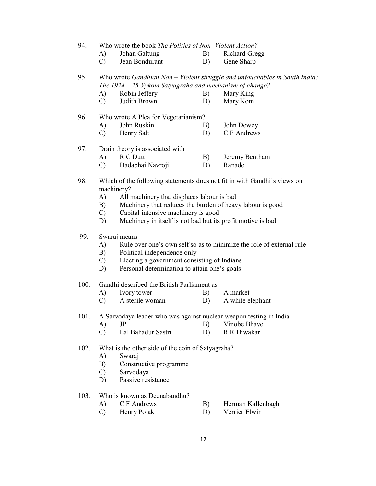94. Who wrote the book *The Politics of Non–Violent Action?*

- A) Johan Galtung B) Richard Gregg
	- C) Jean Bondurant D) Gene Sharp

95. Who wrote *Gandhian Non – Violent struggle and untouchables in South India: The 1924 – 25 Vykom Satyagraha and mechanism of change?*

- A) Robin Jeffery B) Mary King
- C) Judith Brown D) Mary Kom

#### 96. Who wrote A Plea for Vegetarianism?

- A) John Ruskin B) John Dewey
- C) Henry Salt D) C F Andrews

#### 97. Drain theory is associated with

- A) R C Dutt B) Jeremy Bentham
	- C) Dadabhai Navroji D) Ranade
- 98. Which of the following statements does not fit in with Gandhi's views on machinery?
	- A) All machinery that displaces labour is bad
	- B) Machinery that reduces the burden of heavy labour is good
	- C) Capital intensive machinery is good
	- D) Machinery in itself is not bad but its profit motive is bad

## 99. Swaraj means

- A) Rule over one's own self so as to minimize the role of external rule
- B) Political independence only
- C) Electing a government consisting of Indians
- D) Personal determination to attain one's goals

#### 100. Gandhi described the British Parliament as

- A) Ivory tower B) A market
- C) A sterile woman D) A white elephant

101. A Sarvodaya leader who was against nuclear weapon testing in India

- A) JP B) Vinobe Bhave
- C) Lal Bahadur Sastri D) R R Diwakar

#### 102. What is the other side of the coin of Satyagraha?

- A) Swaraj
- B) Constructive programme
- C) Sarvodaya
- D) Passive resistance

## 103. Who is known as Deenabandhu?

- A) C F Andrews B) Herman Kallenbagh
- C) Henry Polak D) Verrier Elwin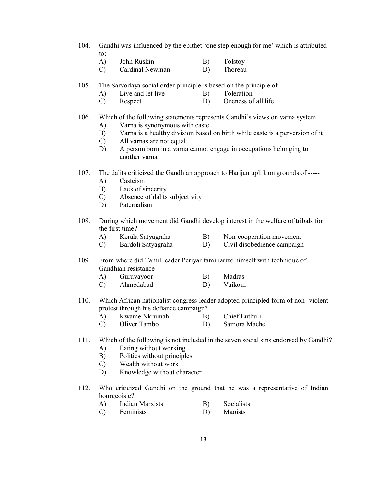- 104. Gandhi was influenced by the epithet 'one step enough for me' which is attributed to:
	- A) John Ruskin B) Tolstov
	- C) Cardinal Newman D) Thoreau
- 105. The Sarvodaya social order principle is based on the principle of ------
	- A) Live and let live B) Toleration
	- C) Respect D) Oneness of all life
- 106. Which of the following statements represents Gandhi's views on varna system
	- A) Varna is synonymous with caste
	- B) Varna is a healthy division based on birth while caste is a perversion of it
	- C) All varnas are not equal
	- D) A person born in a varna cannot engage in occupations belonging to another varna
- 107. The dalits criticized the Gandhian approach to Harijan uplift on grounds of -----
	- A) Casteism
	- B) Lack of sincerity
	- C) Absence of dalits subjectivity
	- D) Paternalism
- 108. During which movement did Gandhi develop interest in the welfare of tribals for the first time?<br>A) Kerala Satyagraha
	- A) Kerala Satyagraha B) Non-cooperation movement
	- C) Bardoli Satyagraha D) Civil disobedience campaign
- 109. From where did Tamil leader Periyar familiarize himself with technique of Gandhian resistance
	- A) Guruvayoor B) Madras
	- C) Ahmedabad D) Vaikom
- 110. Which African nationalist congress leader adopted principled form of non- violent protest through his defiance campaign?
	- A) Kwame Nkrumah B) Chief Luthuli<br>C) Oliver Tambo D) Samora Mach
	- C) Oliver Tambo D) Samora Machel
- 111. Which of the following is not included in the seven social sins endorsed by Gandhi?
	- A) Eating without working
	- B) Politics without principles
	- C) Wealth without work
	- D) Knowledge without character
- 112. Who criticized Gandhi on the ground that he was a representative of Indian bourgeoisie?
	- A) Indian Marxists B) Socialists
	- C) Feminists D) Maoists